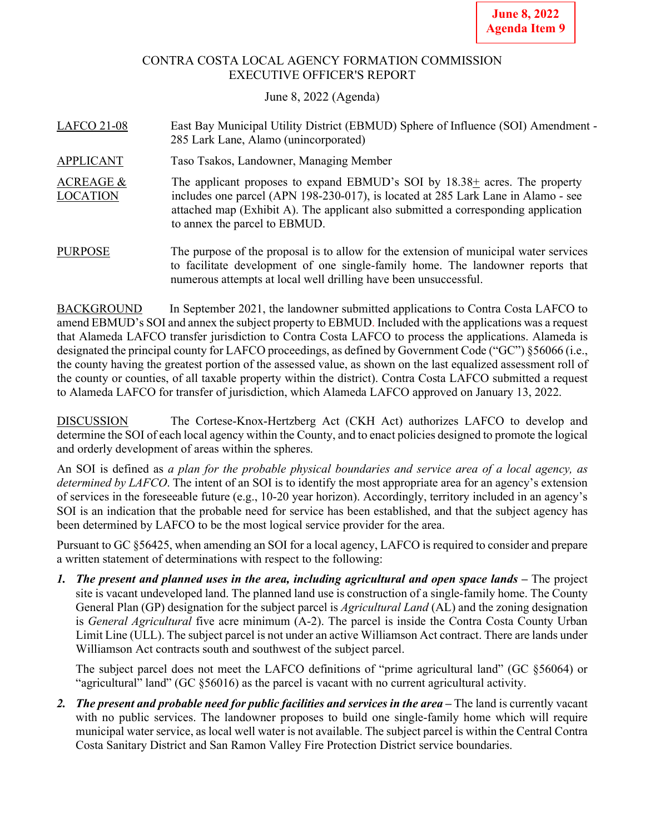### CONTRA COSTA LOCAL AGENCY FORMATION COMMISSION EXECUTIVE OFFICER'S REPORT

### June 8, 2022 (Agenda)

| <b>LAFCO 21-08</b>                      | East Bay Municipal Utility District (EBMUD) Sphere of Influence (SOI) Amendment -<br>285 Lark Lane, Alamo (unincorporated)                                                                                                                                                                  |
|-----------------------------------------|---------------------------------------------------------------------------------------------------------------------------------------------------------------------------------------------------------------------------------------------------------------------------------------------|
| <b>APPLICANT</b>                        | Taso Tsakos, Landowner, Managing Member                                                                                                                                                                                                                                                     |
| <b>ACREAGE &amp;</b><br><b>LOCATION</b> | The applicant proposes to expand EBMUD's SOI by $18.38 \pm$ acres. The property<br>includes one parcel (APN 198-230-017), is located at 285 Lark Lane in Alamo - see<br>attached map (Exhibit A). The applicant also submitted a corresponding application<br>to annex the parcel to EBMUD. |
| <b>PURPOSE</b>                          | The purpose of the proposal is to allow for the extension of municipal water services<br>to facilitate development of one single-family home. The landowner reports that                                                                                                                    |

BACKGROUND In September 2021, the landowner submitted applications to Contra Costa LAFCO to amend EBMUD's SOI and annex the subject property to EBMUD. Included with the applications was a request that Alameda LAFCO transfer jurisdiction to Contra Costa LAFCO to process the applications. Alameda is designated the principal county for LAFCO proceedings, as defined by Government Code ("GC") §56066 (i.e., the county having the greatest portion of the assessed value, as shown on the last equalized assessment roll of the county or counties, of all taxable property within the district). Contra Costa LAFCO submitted a request to Alameda LAFCO for transfer of jurisdiction, which Alameda LAFCO approved on January 13, 2022.

numerous attempts at local well drilling have been unsuccessful.

DISCUSSION The Cortese-Knox-Hertzberg Act (CKH Act) authorizes LAFCO to develop and determine the SOI of each local agency within the County, and to enact policies designed to promote the logical and orderly development of areas within the spheres.

An SOI is defined as *a plan for the probable physical boundaries and service area of a local agency, as determined by LAFCO*. The intent of an SOI is to identify the most appropriate area for an agency's extension of services in the foreseeable future (e.g., 10-20 year horizon). Accordingly, territory included in an agency's SOI is an indication that the probable need for service has been established, and that the subject agency has been determined by LAFCO to be the most logical service provider for the area.

Pursuant to GC §56425, when amending an SOI for a local agency, LAFCO is required to consider and prepare a written statement of determinations with respect to the following:

*1. The present and planned uses in the area, including agricultural and open space lands –* The project site is vacant undeveloped land. The planned land use is construction of a single-family home. The County General Plan (GP) designation for the subject parcel is *Agricultural Land* (AL) and the zoning designation is *General Agricultural* five acre minimum (A-2). The parcel is inside the Contra Costa County Urban Limit Line (ULL). The subject parcel is not under an active Williamson Act contract. There are lands under Williamson Act contracts south and southwest of the subject parcel.

The subject parcel does not meet the LAFCO definitions of "prime agricultural land" (GC §56064) or "agricultural" land" (GC §56016) as the parcel is vacant with no current agricultural activity.

*2. The present and probable need for public facilities and services in the area –* The land is currently vacant with no public services. The landowner proposes to build one single-family home which will require municipal water service, as local well water is not available. The subject parcel is within the Central Contra Costa Sanitary District and San Ramon Valley Fire Protection District service boundaries.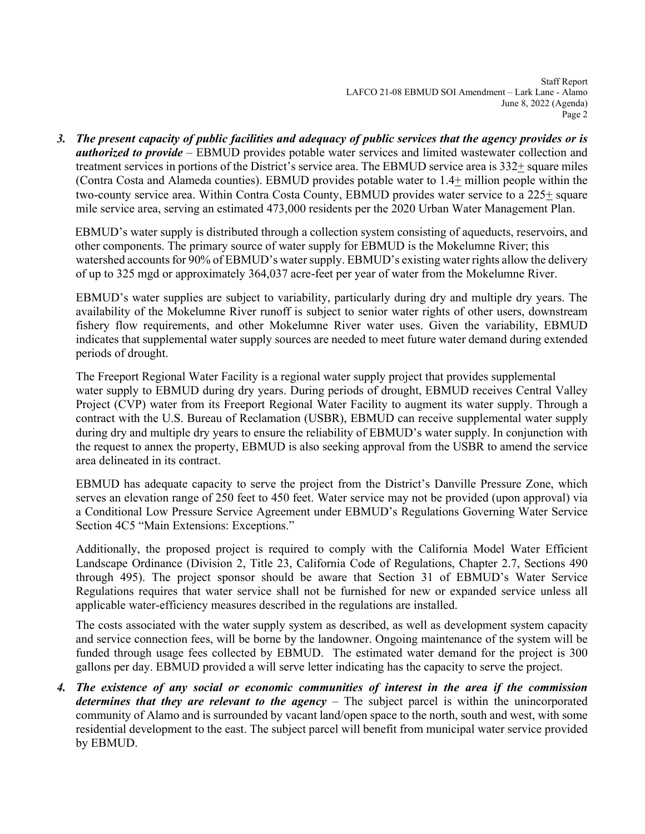Staff Report LAFCO 21-08 EBMUD SOI Amendment – Lark Lane - Alamo June 8, 2022 (Agenda) Page 2

*3. The present capacity of public facilities and adequacy of public services that the agency provides or is authorized to provide* – EBMUD provides potable water services and limited wastewater collection and treatment services in portions of the District's service area. The EBMUD service area is 332+ square miles (Contra Costa and Alameda counties). EBMUD provides potable water to 1.4+ million people within the two-county service area. Within Contra Costa County, EBMUD provides water service to a 225+ square mile service area, serving an estimated 473,000 residents per the 2020 Urban Water Management Plan.

 EBMUD's water supply is distributed through a collection system consisting of aqueducts, reservoirs, and other components. The primary source of water supply for EBMUD is the Mokelumne River; this watershed accounts for 90% of EBMUD's water supply. EBMUD's existing water rights allow the delivery of up to 325 mgd or approximately 364,037 acre-feet per year of water from the Mokelumne River.

EBMUD's water supplies are subject to variability, particularly during dry and multiple dry years. The availability of the Mokelumne River runoff is subject to senior water rights of other users, downstream fishery flow requirements, and other Mokelumne River water uses. Given the variability, EBMUD indicates that supplemental water supply sources are needed to meet future water demand during extended periods of drought.

The Freeport Regional Water Facility is a regional water supply project that provides supplemental water supply to EBMUD during dry years. During periods of drought, EBMUD receives Central Valley Project (CVP) water from its Freeport Regional Water Facility to augment its water supply. Through a contract with the U.S. Bureau of Reclamation (USBR), EBMUD can receive supplemental water supply during dry and multiple dry years to ensure the reliability of EBMUD's water supply. In conjunction with the request to annex the property, EBMUD is also seeking approval from the USBR to amend the service area delineated in its contract.

EBMUD has adequate capacity to serve the project from the District's Danville Pressure Zone, which serves an elevation range of 250 feet to 450 feet. Water service may not be provided (upon approval) via a Conditional Low Pressure Service Agreement under EBMUD's Regulations Governing Water Service Section 4C5 "Main Extensions: Exceptions."

Additionally, the proposed project is required to comply with the California Model Water Efficient Landscape Ordinance (Division 2, Title 23, California Code of Regulations, Chapter 2.7, Sections 490 through 495). The project sponsor should be aware that Section 31 of EBMUD's Water Service Regulations requires that water service shall not be furnished for new or expanded service unless all applicable water-efficiency measures described in the regulations are installed.

The costs associated with the water supply system as described, as well as development system capacity and service connection fees, will be borne by the landowner. Ongoing maintenance of the system will be funded through usage fees collected by EBMUD. The estimated water demand for the project is 300 gallons per day. EBMUD provided a will serve letter indicating has the capacity to serve the project.

*4. The existence of any social or economic communities of interest in the area if the commission determines that they are relevant to the agency* – The subject parcel is within the unincorporated community of Alamo and is surrounded by vacant land/open space to the north, south and west, with some residential development to the east. The subject parcel will benefit from municipal water service provided by EBMUD.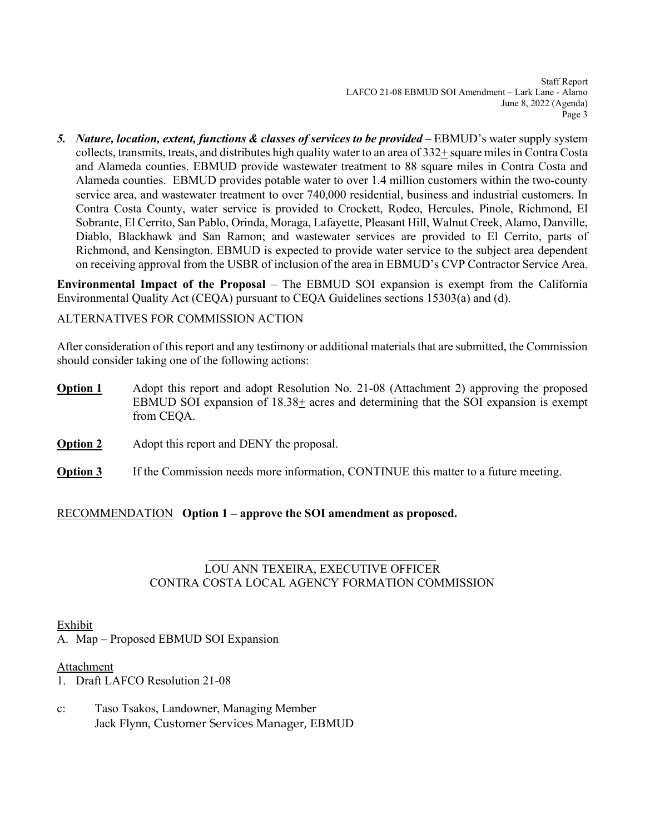Staff Report LAFCO 21-08 EBMUD SOI Amendment – Lark Lane - Alamo June 8, 2022 (Agenda) Page 3

*5. Nature, location, extent, functions & classes of services to be provided –* EBMUD's water supply system collects, transmits, treats, and distributes high quality water to an area of  $332\pm$  square miles in Contra Costa and Alameda counties. EBMUD provide wastewater treatment to 88 square miles in Contra Costa and Alameda counties. EBMUD provides potable water to over 1.4 million customers within the two-county service area, and wastewater treatment to over 740,000 residential, business and industrial customers. In Contra Costa County, water service is provided to Crockett, Rodeo, Hercules, Pinole, Richmond, El Sobrante, El Cerrito, San Pablo, Orinda, Moraga, Lafayette, Pleasant Hill, Walnut Creek, Alamo, Danville, Diablo, Blackhawk and San Ramon; and wastewater services are provided to El Cerrito, parts of Richmond, and Kensington. EBMUD is expected to provide water service to the subject area dependent on receiving approval from the USBR of inclusion of the area in EBMUD's CVP Contractor Service Area.

**Environmental Impact of the Proposal** – The EBMUD SOI expansion is exempt from the California Environmental Quality Act (CEQA) pursuant to CEQA Guidelines sections 15303(a) and (d).

ALTERNATIVES FOR COMMISSION ACTION

After consideration of this report and any testimony or additional materials that are submitted, the Commission should consider taking one of the following actions:

- **Option 1** Adopt this report and adopt Resolution No. 21-08 (Attachment 2) approving the proposed EBMUD SOI expansion of  $18.38<sub>±</sub>$  acres and determining that the SOI expansion is exempt from CEQA.
- **Option 2** Adopt this report and DENY the proposal.
- **Option 3** If the Commission needs more information, CONTINUE this matter to a future meeting.

RECOMMENDATION **Option 1 – approve the SOI amendment as proposed.**

## LOU ANN TEXEIRA, EXECUTIVE OFFICER CONTRA COSTA LOCAL AGENCY FORMATION COMMISSION

Exhibit

A. Map – Proposed EBMUD SOI Expansion

### **Attachment**

- 1. Draft LAFCO Resolution 21-08
- c: Taso Tsakos, Landowner, Managing Member Jack Flynn, Customer Services Manager, EBMUD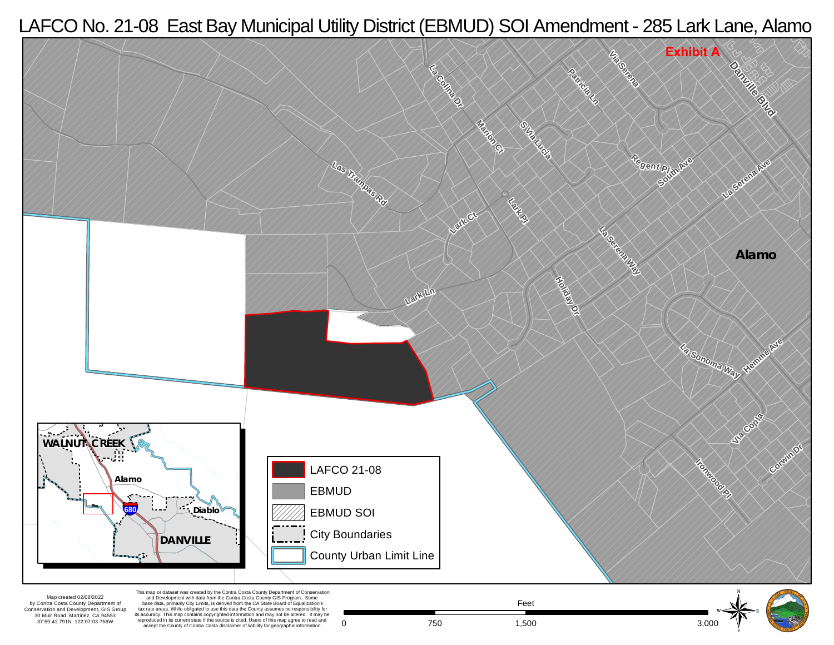# LAFCO No. 21-08 East Bay Municipal Utility District (EBMUD) SOI Amendment - 285 Lark Lane, Alamo



accept the County of Contra Costa disclaimer of liability for geographic information.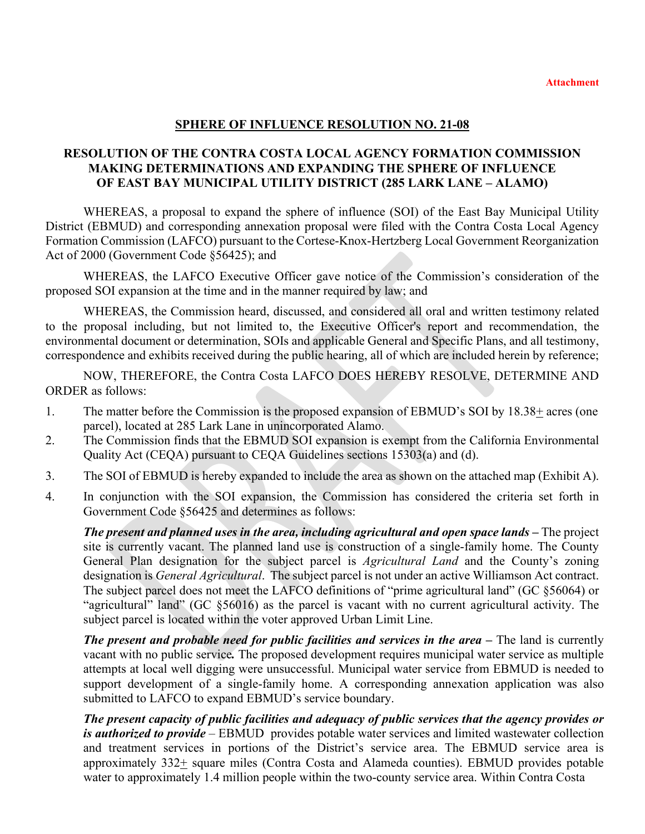### **SPHERE OF INFLUENCE RESOLUTION NO. 21-08**

## **RESOLUTION OF THE CONTRA COSTA LOCAL AGENCY FORMATION COMMISSION MAKING DETERMINATIONS AND EXPANDING THE SPHERE OF INFLUENCE OF EAST BAY MUNICIPAL UTILITY DISTRICT (285 LARK LANE – ALAMO)**

WHEREAS, a proposal to expand the sphere of influence (SOI) of the East Bay Municipal Utility District (EBMUD) and corresponding annexation proposal were filed with the Contra Costa Local Agency Formation Commission (LAFCO) pursuant to the Cortese-Knox-Hertzberg Local Government Reorganization Act of 2000 (Government Code §56425); and

WHEREAS, the LAFCO Executive Officer gave notice of the Commission's consideration of the proposed SOI expansion at the time and in the manner required by law; and

WHEREAS, the Commission heard, discussed, and considered all oral and written testimony related to the proposal including, but not limited to, the Executive Officer's report and recommendation, the environmental document or determination, SOIs and applicable General and Specific Plans, and all testimony, correspondence and exhibits received during the public hearing, all of which are included herein by reference;

NOW, THEREFORE, the Contra Costa LAFCO DOES HEREBY RESOLVE, DETERMINE AND ORDER as follows:

- 1. The matter before the Commission is the proposed expansion of EBMUD's SOI by 18.38+ acres (one parcel), located at 285 Lark Lane in unincorporated Alamo.
- 2. The Commission finds that the EBMUD SOI expansion is exempt from the California Environmental Quality Act (CEQA) pursuant to CEQA Guidelines sections 15303(a) and (d).
- 3. The SOI of EBMUD is hereby expanded to include the area as shown on the attached map (Exhibit A).
- 4. In conjunction with the SOI expansion, the Commission has considered the criteria set forth in Government Code §56425 and determines as follows:

*The present and planned uses in the area, including agricultural and open space lands – The project* site is currently vacant. The planned land use is construction of a single-family home. The County General Plan designation for the subject parcel is *Agricultural Land* and the County's zoning designation is *General Agricultural*. The subject parcel is not under an active Williamson Act contract. The subject parcel does not meet the LAFCO definitions of "prime agricultural land" (GC §56064) or "agricultural" land" (GC §56016) as the parcel is vacant with no current agricultural activity. The subject parcel is located within the voter approved Urban Limit Line.

*The present and probable need for public facilities and services in the area – The land is currently* vacant with no public service*.* The proposed development requires municipal water service as multiple attempts at local well digging were unsuccessful. Municipal water service from EBMUD is needed to support development of a single-family home. A corresponding annexation application was also submitted to LAFCO to expand EBMUD's service boundary.

*The present capacity of public facilities and adequacy of public services that the agency provides or is authorized to provide* – EBMUD provides potable water services and limited wastewater collection and treatment services in portions of the District's service area. The EBMUD service area is approximately 332+ square miles (Contra Costa and Alameda counties). EBMUD provides potable water to approximately 1.4 million people within the two-county service area. Within Contra Costa